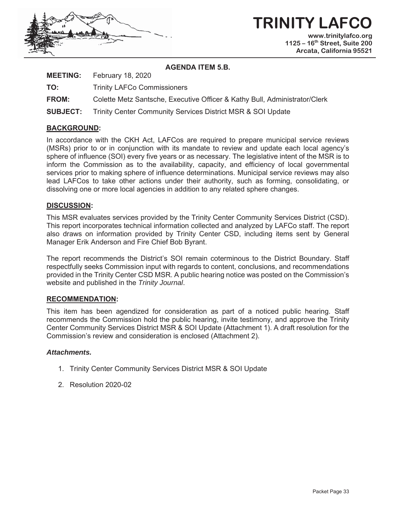

#### **AGENDA ITEM 5.B.**

| <b>MEETING:</b> | February 18, 2020 |  |
|-----------------|-------------------|--|
|-----------------|-------------------|--|

**TO:** Trinity LAFCo Commissioners

**FROM:** Colette Metz Santsche, Executive Officer & Kathy Bull, Administrator/Clerk

**SUBJECT:** Trinity Center Community Services District MSR & SOI Update

#### **BACKGROUND:**

In accordance with the CKH Act, LAFCos are required to prepare municipal service reviews (MSRs) prior to or in conjunction with its mandate to review and update each local agency's sphere of influence (SOI) every five years or as necessary. The legislative intent of the MSR is to inform the Commission as to the availability, capacity, and efficiency of local governmental services prior to making sphere of influence determinations. Municipal service reviews may also lead LAFCos to take other actions under their authority, such as forming, consolidating, or dissolving one or more local agencies in addition to any related sphere changes.

#### **DISCUSSION:**

This MSR evaluates services provided by the Trinity Center Community Services District (CSD). This report incorporates technical information collected and analyzed by LAFCo staff. The report also draws on information provided by Trinity Center CSD, including items sent by General Manager Erik Anderson and Fire Chief Bob Byrant.

The report recommends the District's SOI remain coterminous to the District Boundary. Staff respectfully seeks Commission input with regards to content, conclusions, and recommendations provided in the Trinity Center CSD MSR. A public hearing notice was posted on the Commission's website and published in the *Trinity Journal*.

#### **RECOMMENDATION:**

This item has been agendized for consideration as part of a noticed public hearing. Staff recommends the Commission hold the public hearing, invite testimony, and approve the Trinity Center Community Services District MSR & SOI Update (Attachment 1). A draft resolution for the Commission's review and consideration is enclosed (Attachment 2).

#### *Attachments.*

- 1. Trinity Center Community Services District MSR & SOI Update
- 2. Resolution 2020-02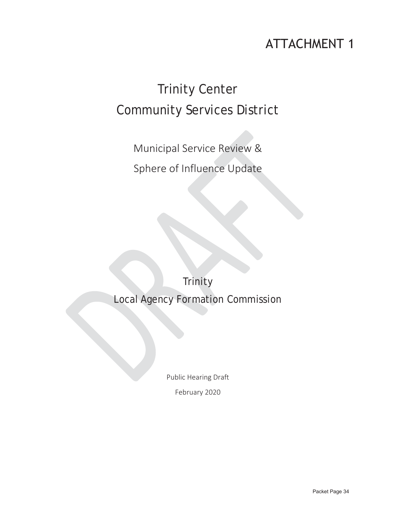# **ATTACHMENT 1**

# Trinity Center Community Services District

Municipal Service Review & Sphere of Influence Update

**Trinity** Local Agency Formation Commission

Public Hearing Draft

February 2020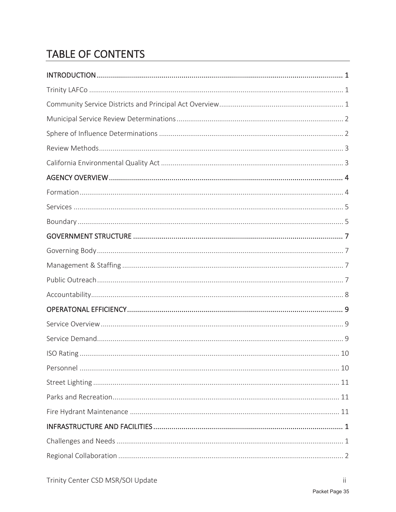# TABLE OF CONTENTS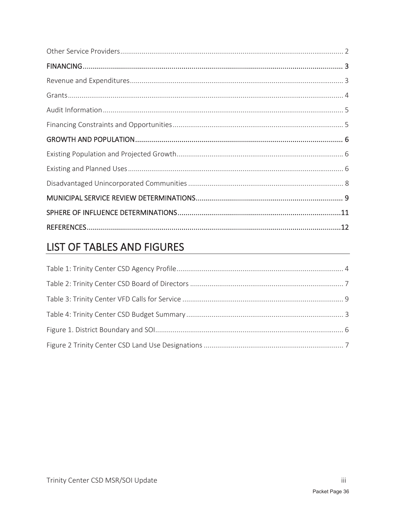# LIST OF TABLES AND FIGURES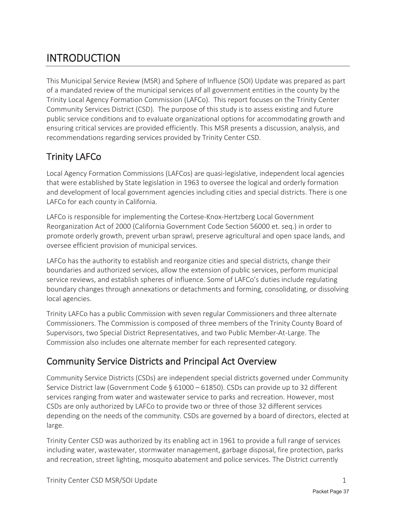# INTRODUCTION

This Municipal Service Review (MSR) and Sphere of Influence (SOI) Update was prepared as part of a mandated review of the municipal services of all government entities in the county by the Trinity Local Agency Formation Commission (LAFCo). This report focuses on the Trinity Center Community Services District (CSD). The purpose of this study is to assess existing and future public service conditions and to evaluate organizational options for accommodating growth and ensuring critical services are provided efficiently. This MSR presents a discussion, analysis, and recommendations regarding services provided by Trinity Center CSD.

### Trinity LAFCo

Local Agency Formation Commissions (LAFCos) are quasi-legislative, independent local agencies that were established by State legislation in 1963 to oversee the logical and orderly formation and development of local government agencies including cities and special districts. There is one LAFCo for each county in California.

LAFCo is responsible for implementing the Cortese-Knox-Hertzberg Local Government Reorganization Act of 2000 (California Government Code Section 56000 et. seq.) in order to promote orderly growth, prevent urban sprawl, preserve agricultural and open space lands, and oversee efficient provision of municipal services.

LAFCo has the authority to establish and reorganize cities and special districts, change their boundaries and authorized services, allow the extension of public services, perform municipal service reviews, and establish spheres of influence. Some of LAFCo's duties include regulating boundary changes through annexations or detachments and forming, consolidating, or dissolving local agencies.

Trinity LAFCo has a public Commission with seven regular Commissioners and three alternate Commissioners. The Commission is composed of three members of the Trinity County Board of Supervisors, two Special District Representatives, and two Public Member-At-Large. The Commission also includes one alternate member for each represented category.

### Community Service Districts and Principal Act Overview

Community Service Districts (CSDs) are independent special districts governed under Community Service District law (Government Code § 61000 – 61850). CSDs can provide up to 32 different services ranging from water and wastewater service to parks and recreation. However, most CSDs are only authorized by LAFCo to provide two or three of those 32 different services depending on the needs of the community. CSDs are governed by a board of directors, elected at large.

Trinity Center CSD was authorized by its enabling act in 1961 to provide a full range of services including water, wastewater, stormwater management, garbage disposal, fire protection, parks and recreation, street lighting, mosquito abatement and police services. The District currently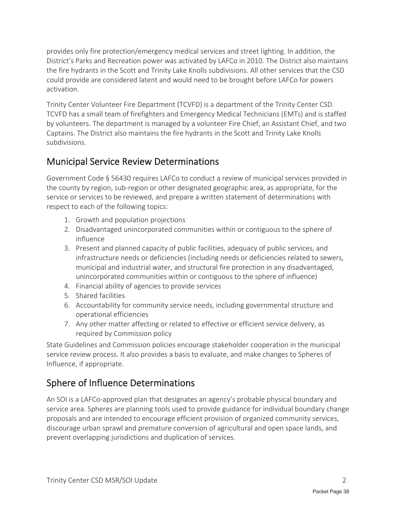provides only fire protection/emergency medical services and street lighting. In addition, the District's Parks and Recreation power was activated by LAFCo in 2010. The District also maintains the fire hydrants in the Scott and Trinity Lake Knolls subdivisions. All other services that the CSD could provide are considered latent and would need to be brought before LAFCo for powers activation.

Trinity Center Volunteer Fire Department (TCVFD) is a department of the Trinity Center CSD. TCVFD has a small team of firefighters and Emergency Medical Technicians (EMTs) and is staffed by volunteers. The department is managed by a volunteer Fire Chief, an Assistant Chief, and two Captains. The District also maintains the fire hydrants in the Scott and Trinity Lake Knolls subdivisions.

### Municipal Service Review Determinations

Government Code § 56430 requires LAFCo to conduct a review of municipal services provided in the county by region, sub-region or other designated geographic area, as appropriate, for the service or services to be reviewed, and prepare a written statement of determinations with respect to each of the following topics:

- 1. Growth and population projections
- 2. Disadvantaged unincorporated communities within or contiguous to the sphere of influence
- 3. Present and planned capacity of public facilities, adequacy of public services, and infrastructure needs or deficiencies (including needs or deficiencies related to sewers, municipal and industrial water, and structural fire protection in any disadvantaged, unincorporated communities within or contiguous to the sphere of influence)
- 4. Financial ability of agencies to provide services
- 5. Shared facilities
- 6. Accountability for community service needs, including governmental structure and operational efficiencies
- 7. Any other matter affecting or related to effective or efficient service delivery, as required by Commission policy

State Guidelines and Commission policies encourage stakeholder cooperation in the municipal service review process. It also provides a basis to evaluate, and make changes to Spheres of Influence, if appropriate.

### Sphere of Influence Determinations

An SOI is a LAFCo-approved plan that designates an agency's probable physical boundary and service area. Spheres are planning tools used to provide guidance for individual boundary change proposals and are intended to encourage efficient provision of organized community services, discourage urban sprawl and premature conversion of agricultural and open space lands, and prevent overlapping jurisdictions and duplication of services.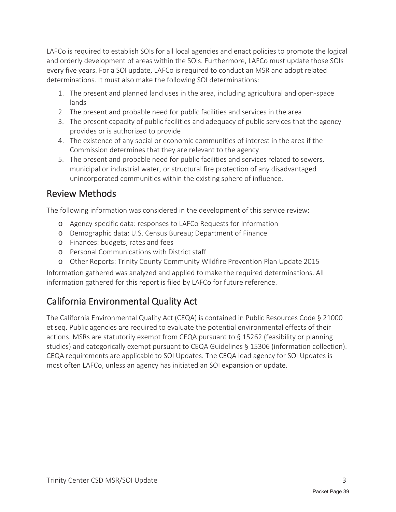LAFCo is required to establish SOIs for all local agencies and enact policies to promote the logical and orderly development of areas within the SOIs. Furthermore, LAFCo must update those SOIs every five years. For a SOI update, LAFCo is required to conduct an MSR and adopt related determinations. It must also make the following SOI determinations:

- 1. The present and planned land uses in the area, including agricultural and open-space lands
- 2. The present and probable need for public facilities and services in the area
- 3. The present capacity of public facilities and adequacy of public services that the agency provides or is authorized to provide
- 4. The existence of any social or economic communities of interest in the area if the Commission determines that they are relevant to the agency
- 5. The present and probable need for public facilities and services related to sewers, municipal or industrial water, or structural fire protection of any disadvantaged unincorporated communities within the existing sphere of influence.

#### Review Methods

The following information was considered in the development of this service review:

- o Agency-specific data: responses to LAFCo Requests for Information
- o Demographic data: U.S. Census Bureau; Department of Finance
- o Finances: budgets, rates and fees
- o Personal Communications with District staff
- o Other Reports: Trinity County Community Wildfire Prevention Plan Update 2015

Information gathered was analyzed and applied to make the required determinations. All information gathered for this report is filed by LAFCo for future reference.

### California Environmental Quality Act

The California Environmental Quality Act (CEQA) is contained in Public Resources Code § 21000 et seq. Public agencies are required to evaluate the potential environmental effects of their actions. MSRs are statutorily exempt from CEQA pursuant to § 15262 (feasibility or planning studies) and categorically exempt pursuant to CEQA Guidelines § 15306 (information collection). CEQA requirements are applicable to SOI Updates. The CEQA lead agency for SOI Updates is most often LAFCo, unless an agency has initiated an SOI expansion or update.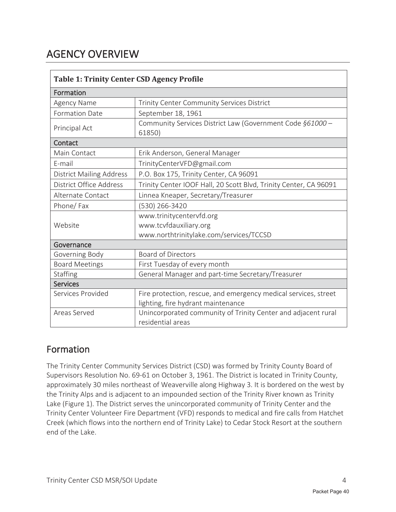# AGENCY OVERVIEW

| <b>Table 1: Trinity Center CSD Agency Profile</b> |                                                                     |  |  |
|---------------------------------------------------|---------------------------------------------------------------------|--|--|
| Formation                                         |                                                                     |  |  |
| Agency Name                                       | Trinity Center Community Services District                          |  |  |
| <b>Formation Date</b>                             | September 18, 1961                                                  |  |  |
| Principal Act                                     | Community Services District Law (Government Code §61000 -<br>61850) |  |  |
| Contact                                           |                                                                     |  |  |
| Main Contact                                      | Erik Anderson, General Manager                                      |  |  |
| E-mail                                            | TrinityCenterVFD@gmail.com                                          |  |  |
| <b>District Mailing Address</b>                   | P.O. Box 175, Trinity Center, CA 96091                              |  |  |
| District Office Address                           | Trinity Center IOOF Hall, 20 Scott Blvd, Trinity Center, CA 96091   |  |  |
| Alternate Contact                                 | Linnea Kneaper, Secretary/Treasurer                                 |  |  |
| Phone/Fax                                         | (530) 266-3420                                                      |  |  |
|                                                   | www.trinitycentervfd.org                                            |  |  |
| Website                                           | www.tcvfdauxiliary.org                                              |  |  |
|                                                   | www.northtrinitylake.com/services/TCCSD                             |  |  |
| Governance                                        |                                                                     |  |  |
| Governing Body                                    | <b>Board of Directors</b>                                           |  |  |
| <b>Board Meetings</b>                             | First Tuesday of every month                                        |  |  |
| Staffing                                          | General Manager and part-time Secretary/Treasurer                   |  |  |
| <b>Services</b>                                   |                                                                     |  |  |
| Services Provided                                 | Fire protection, rescue, and emergency medical services, street     |  |  |
|                                                   | lighting, fire hydrant maintenance                                  |  |  |
| Areas Served                                      | Unincorporated community of Trinity Center and adjacent rural       |  |  |
|                                                   | residential areas                                                   |  |  |

#### Formation

The Trinity Center Community Services District (CSD) was formed by Trinity County Board of Supervisors Resolution No. 69-61 on October 3, 1961. The District is located in Trinity County, approximately 30 miles northeast of Weaverville along Highway 3. It is bordered on the west by the Trinity Alps and is adjacent to an impounded section of the Trinity River known as Trinity Lake (Figure 1). The District serves the unincorporated community of Trinity Center and the Trinity Center Volunteer Fire Department (VFD) responds to medical and fire calls from Hatchet Creek (which flows into the northern end of Trinity Lake) to Cedar Stock Resort at the southern end of the Lake.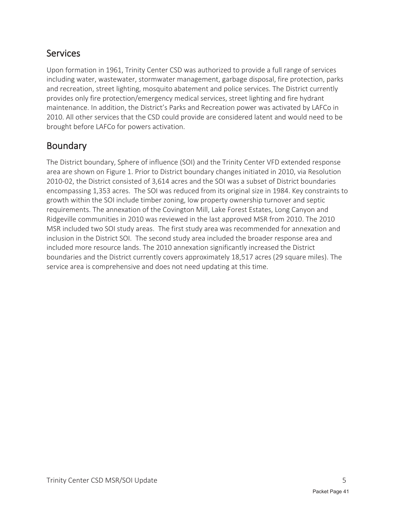### Services

Upon formation in 1961, Trinity Center CSD was authorized to provide a full range of services including water, wastewater, stormwater management, garbage disposal, fire protection, parks and recreation, street lighting, mosquito abatement and police services. The District currently provides only fire protection/emergency medical services, street lighting and fire hydrant maintenance. In addition, the District's Parks and Recreation power was activated by LAFCo in 2010. All other services that the CSD could provide are considered latent and would need to be brought before LAFCo for powers activation.

### Boundary

The District boundary, Sphere of influence (SOI) and the Trinity Center VFD extended response area are shown on Figure 1. Prior to District boundary changes initiated in 2010, via Resolution 2010-02, the District consisted of 3,614 acres and the SOI was a subset of District boundaries encompassing 1,353 acres. The SOI was reduced from its original size in 1984. Key constraints to growth within the SOI include timber zoning, low property ownership turnover and septic requirements. The annexation of the Covington Mill, Lake Forest Estates, Long Canyon and Ridgeville communities in 2010 was reviewed in the last approved MSR from 2010. The 2010 MSR included two SOI study areas. The first study area was recommended for annexation and inclusion in the District SOI. The second study area included the broader response area and included more resource lands. The 2010 annexation significantly increased the District boundaries and the District currently covers approximately 18,517 acres (29 square miles). The service area is comprehensive and does not need updating at this time.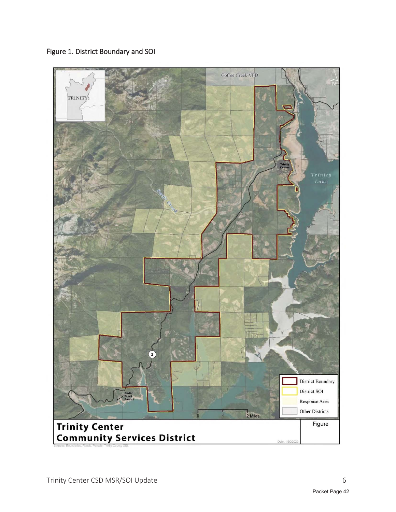Figure 1. District Boundary and SOI

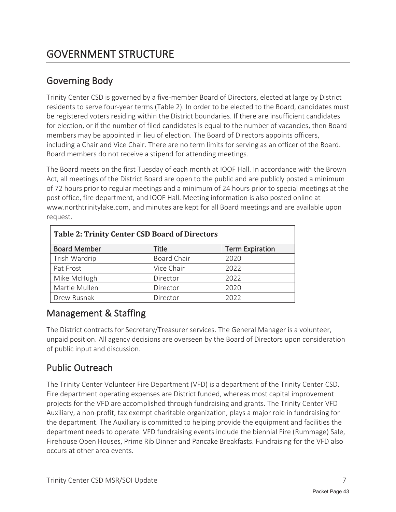### Governing Body

Trinity Center CSD is governed by a five-member Board of Directors, elected at large by District residents to serve four-year terms (Table 2). In order to be elected to the Board, candidates must be registered voters residing within the District boundaries. If there are insufficient candidates for election, or if the number of filed candidates is equal to the number of vacancies, then Board members may be appointed in lieu of election. The Board of Directors appoints officers, including a Chair and Vice Chair. There are no term limits for serving as an officer of the Board. Board members do not receive a stipend for attending meetings.

The Board meets on the first Tuesday of each month at IOOF Hall. In accordance with the Brown Act, all meetings of the District Board are open to the public and are publicly posted a minimum of 72 hours prior to regular meetings and a minimum of 24 hours prior to special meetings at the post office, fire department, and IOOF Hall. Meeting information is also posted online at www.northtrinitylake.com, and minutes are kept for all Board meetings and are available upon request.

| <b>Table 2: Trinity Center CSD Board of Directors</b> |                    |                        |  |
|-------------------------------------------------------|--------------------|------------------------|--|
| <b>Board Member</b>                                   | Title              | <b>Term Expiration</b> |  |
| Trish Wardrip                                         | <b>Board Chair</b> | 2020                   |  |
| Pat Frost                                             | Vice Chair         | 2022                   |  |
| Mike McHugh                                           | Director           | 2022                   |  |
| Martie Mullen                                         | Director           | 2020                   |  |
| Drew Rusnak                                           | Director           | 2022                   |  |

#### Management & Staffing

The District contracts for Secretary/Treasurer services. The General Manager is a volunteer, unpaid position. All agency decisions are overseen by the Board of Directors upon consideration of public input and discussion.

### Public Outreach

The Trinity Center Volunteer Fire Department (VFD) is a department of the Trinity Center CSD. Fire department operating expenses are District funded, whereas most capital improvement projects for the VFD are accomplished through fundraising and grants. The Trinity Center VFD Auxiliary, a non-profit, tax exempt charitable organization, plays a major role in fundraising for the department. The Auxiliary is committed to helping provide the equipment and facilities the department needs to operate. VFD fundraising events include the biennial Fire (Rummage) Sale, Firehouse Open Houses, Prime Rib Dinner and Pancake Breakfasts. Fundraising for the VFD also occurs at other area events.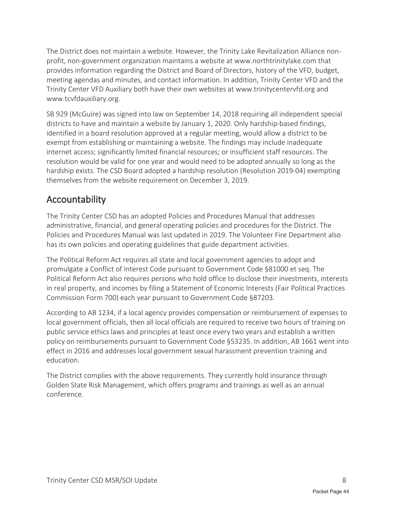The District does not maintain a website. However, the Trinity Lake Revitalization Alliance nonprofit, non-government organization maintains a website at www.northtrinitylake.com that provides information regarding the District and Board of Directors, history of the VFD, budget, meeting agendas and minutes, and contact information. In addition, Trinity Center VFD and the Trinity Center VFD Auxiliary both have their own websites at www.trinitycentervfd.org and www.tcvfdauxiliary.org.

SB 929 (McGuire) was signed into law on September 14, 2018 requiring all independent special districts to have and maintain a website by January 1, 2020. Only hardship-based findings, identified in a board resolution approved at a regular meeting, would allow a district to be exempt from establishing or maintaining a website. The findings may include inadequate internet access; significantly limited financial resources; or insufficient staff resources. The resolution would be valid for one year and would need to be adopted annually so long as the hardship exists. The CSD Board adopted a hardship resolution (Resolution 2019-04) exempting themselves from the website requirement on December 3, 2019.

#### Accountability

The Trinity Center CSD has an adopted Policies and Procedures Manual that addresses administrative, financial, and general operating policies and procedures for the District. The Policies and Procedures Manual was last updated in 2019. The Volunteer Fire Department also has its own policies and operating guidelines that guide department activities.

The Political Reform Act requires all state and local government agencies to adopt and promulgate a Conflict of Interest Code pursuant to Government Code §81000 et seq. The Political Reform Act also requires persons who hold office to disclose their investments, interests in real property, and incomes by filing a Statement of Economic Interests (Fair Political Practices Commission Form 700) each year pursuant to Government Code §87203.

According to AB 1234, if a local agency provides compensation or reimbursement of expenses to local government officials, then all local officials are required to receive two hours of training on public service ethics laws and principles at least once every two years and establish a written policy on reimbursements pursuant to Government Code §53235. In addition, AB 1661 went into effect in 2016 and addresses local government sexual harassment prevention training and education.

The District complies with the above requirements. They currently hold insurance through Golden State Risk Management, which offers programs and trainings as well as an annual conference.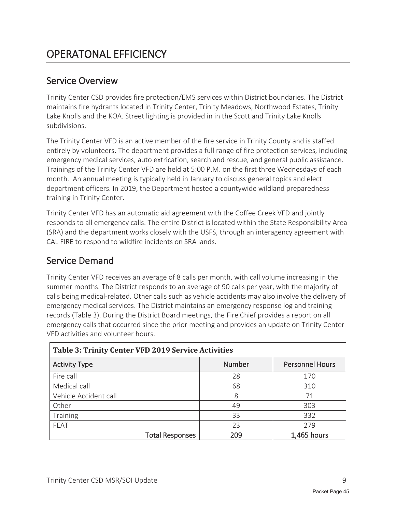#### Service Overview

Trinity Center CSD provides fire protection/EMS services within District boundaries. The District maintains fire hydrants located in Trinity Center, Trinity Meadows, Northwood Estates, Trinity Lake Knolls and the KOA. Street lighting is provided in in the Scott and Trinity Lake Knolls subdivisions.

The Trinity Center VFD is an active member of the fire service in Trinity County and is staffed entirely by volunteers. The department provides a full range of fire protection services, including emergency medical services, auto extrication, search and rescue, and general public assistance. Trainings of the Trinity Center VFD are held at 5:00 P.M. on the first three Wednesdays of each month. An annual meeting is typically held in January to discuss general topics and elect department officers. In 2019, the Department hosted a countywide wildland preparedness training in Trinity Center.

Trinity Center VFD has an automatic aid agreement with the Coffee Creek VFD and jointly responds to all emergency calls. The entire District is located within the State Responsibility Area (SRA) and the department works closely with the USFS, through an interagency agreement with CAL FIRE to respond to wildfire incidents on SRA lands.

#### Service Demand

Trinity Center VFD receives an average of 8 calls per month, with call volume increasing in the summer months. The District responds to an average of 90 calls per year, with the majority of calls being medical-related. Other calls such as vehicle accidents may also involve the delivery of emergency medical services. The District maintains an emergency response log and training records (Table 3). During the District Board meetings, the Fire Chief provides a report on all emergency calls that occurred since the prior meeting and provides an update on Trinity Center VFD activities and volunteer hours.

| Table 3: Trinity Center VFD 2019 Service Activities |               |                        |  |
|-----------------------------------------------------|---------------|------------------------|--|
| <b>Activity Type</b>                                | <b>Number</b> | <b>Personnel Hours</b> |  |
| Fire call                                           | 28            | 170                    |  |
| Medical call                                        | 68            | 310                    |  |
| Vehicle Accident call                               | 8             | 71                     |  |
| Other                                               | 49            | 303                    |  |
| Training                                            | 33            | 332                    |  |
| FEAT                                                | 23            | 279                    |  |
| <b>Total Responses</b>                              | 209           | 1,465 hours            |  |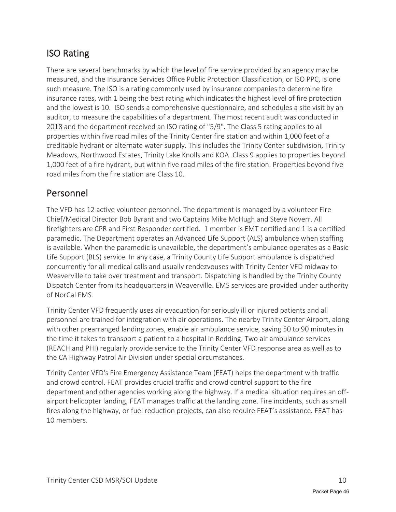### ISO Rating

There are several benchmarks by which the level of fire service provided by an agency may be measured, and the Insurance Services Office Public Protection Classification, or ISO PPC, is one such measure. The ISO is a rating commonly used by insurance companies to determine fire insurance rates, with 1 being the best rating which indicates the highest level of fire protection and the lowest is 10. ISO sends a comprehensive questionnaire, and schedules a site visit by an auditor, to measure the capabilities of a department. The most recent audit was conducted in 2018 and the department received an ISO rating of "5/9". The Class 5 rating applies to all properties within five road miles of the Trinity Center fire station and within 1,000 feet of a creditable hydrant or alternate water supply. This includes the Trinity Center subdivision, Trinity Meadows, Northwood Estates, Trinity Lake Knolls and KOA. Class 9 applies to properties beyond 1,000 feet of a fire hydrant, but within five road miles of the fire station. Properties beyond five road miles from the fire station are Class 10.

#### Personnel

The VFD has 12 active volunteer personnel. The department is managed by a volunteer Fire Chief/Medical Director Bob Byrant and two Captains Mike McHugh and Steve Noverr. All firefighters are CPR and First Responder certified. 1 member is EMT certified and 1 is a certified paramedic. The Department operates an Advanced Life Support (ALS) ambulance when staffing is available. When the paramedic is unavailable, the department's ambulance operates as a Basic Life Support (BLS) service. In any case, a Trinity County Life Support ambulance is dispatched concurrently for all medical calls and usually rendezvouses with Trinity Center VFD midway to Weaverville to take over treatment and transport. Dispatching is handled by the Trinity County Dispatch Center from its headquarters in Weaverville. EMS services are provided under authority of NorCal EMS.

Trinity Center VFD frequently uses air evacuation for seriously ill or injured patients and all personnel are trained for integration with air operations. The nearby Trinity Center Airport, along with other prearranged landing zones, enable air ambulance service, saving 50 to 90 minutes in the time it takes to transport a patient to a hospital in Redding. Two air ambulance services (REACH and PHI) regularly provide service to the Trinity Center VFD response area as well as to the CA Highway Patrol Air Division under special circumstances.

Trinity Center VFD's Fire Emergency Assistance Team (FEAT) helps the department with traffic and crowd control. FEAT provides crucial traffic and crowd control support to the fire department and other agencies working along the highway. If a medical situation requires an offairport helicopter landing, FEAT manages traffic at the landing zone. Fire incidents, such as small fires along the highway, or fuel reduction projects, can also require FEAT's assistance. FEAT has 10 members.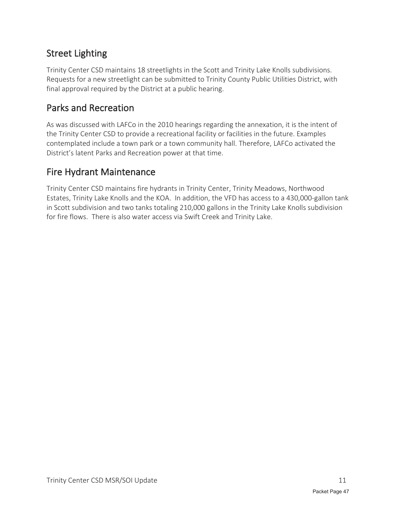### Street Lighting

Trinity Center CSD maintains 18 streetlights in the Scott and Trinity Lake Knolls subdivisions. Requests for a new streetlight can be submitted to Trinity County Public Utilities District, with final approval required by the District at a public hearing.

### Parks and Recreation

As was discussed with LAFCo in the 2010 hearings regarding the annexation, it is the intent of the Trinity Center CSD to provide a recreational facility or facilities in the future. Examples contemplated include a town park or a town community hall. Therefore, LAFCo activated the District's latent Parks and Recreation power at that time.

#### Fire Hydrant Maintenance

Trinity Center CSD maintains fire hydrants in Trinity Center, Trinity Meadows, Northwood Estates, Trinity Lake Knolls and the KOA. In addition, the VFD has access to a 430,000-gallon tank in Scott subdivision and two tanks totaling 210,000 gallons in the Trinity Lake Knolls subdivision for fire flows. There is also water access via Swift Creek and Trinity Lake.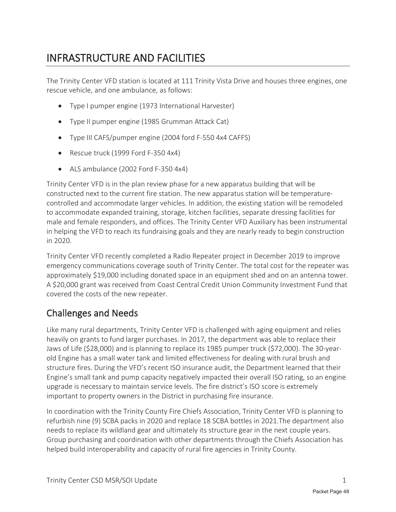# INFRASTRUCTURE AND FACILITIES

The Trinity Center VFD station is located at 111 Trinity Vista Drive and houses three engines, one rescue vehicle, and one ambulance, as follows:

- Type I pumper engine (1973 International Harvester)
- Type II pumper engine (1985 Grumman Attack Cat)
- Type III CAFS/pumper engine (2004 ford F-550 4x4 CAFFS)
- Rescue truck (1999 Ford F-350 4x4)
- $\bullet$  ALS ambulance (2002 Ford F-350 4x4)

Trinity Center VFD is in the plan review phase for a new apparatus building that will be constructed next to the current fire station. The new apparatus station will be temperaturecontrolled and accommodate larger vehicles. In addition, the existing station will be remodeled to accommodate expanded training, storage, kitchen facilities, separate dressing facilities for male and female responders, and offices. The Trinity Center VFD Auxiliary has been instrumental in helping the VFD to reach its fundraising goals and they are nearly ready to begin construction in 2020.

Trinity Center VFD recently completed a Radio Repeater project in December 2019 to improve emergency communications coverage south of Trinity Center. The total cost for the repeater was approximately \$19,000 including donated space in an equipment shed and on an antenna tower. A \$20,000 grant was received from Coast Central Credit Union Community Investment Fund that covered the costs of the new repeater.

### Challenges and Needs

Like many rural departments, Trinity Center VFD is challenged with aging equipment and relies heavily on grants to fund larger purchases. In 2017, the department was able to replace their Jaws of Life (\$28,000) and is planning to replace its 1985 pumper truck (\$72,000). The 30-yearold Engine has a small water tank and limited effectiveness for dealing with rural brush and structure fires. During the VFD's recent ISO insurance audit, the Department learned that their Engine's small tank and pump capacity negatively impacted their overall ISO rating, so an engine upgrade is necessary to maintain service levels. The fire district's ISO score is extremely important to property owners in the District in purchasing fire insurance.

In coordination with the Trinity County Fire Chiefs Association, Trinity Center VFD is planning to refurbish nine (9) SCBA packs in 2020 and replace 18 SCBA bottles in 2021.The department also needs to replace its wildland gear and ultimately its structure gear in the next couple years. Group purchasing and coordination with other departments through the Chiefs Association has helped build interoperability and capacity of rural fire agencies in Trinity County.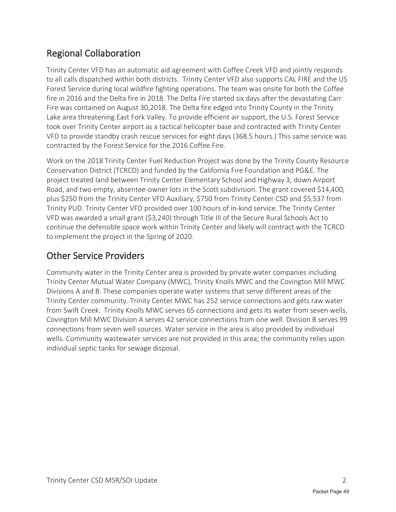### Regional Collaboration

Trinity Center VFD has an automatic aid agreement with Coffee Creek VFD and jointly responds to all calls dispatched within both districts. Trinity Center VFD also supports CAL FIRE and the US Forest Service during local wildfire fighting operations. The team was onsite for both the Coffee fire in 2016 and the Delta fire in 2018. The Delta Fire started six days after the devastating Carr Fire was contained on August 30,2018. The Delta fire edged into Trinity County in the Trinity Lake area threatening East Fork Valley. To provide efficient air support, the U.S. Forest Service took over Trinity Center airport as a tactical helicopter base and contracted with Trinity Center VFD to provide standby crash rescue services for eight days (368.5 hours.) This same service was contracted by the Forest Service for the 2016 Coffee Fire.

Work on the 2018 Trinity Center Fuel Reduction Project was done by the Trinity County Resource Conservation District (TCRCD) and funded by the California Fire Foundation and PG&E. The project treated land between Trinity Center Elementary School and Highway 3, down Airport Road, and two empty, absentee-owner lots in the Scott subdivision. The grant covered \$14,400, plus \$250 from the Trinity Center VFD Auxiliary, \$750 from Trinity Center CSD and \$5,537 from Trinity PUD. Trinity Center VFD provided over 100 hours of in-kind service. The Trinity Center VFD was awarded a small grant (\$3,240) through Title III of the Secure Rural Schools Act to continue the defensible space work within Trinity Center and likely will contract with the TCRCD to implement the project in the Spring of 2020.

### Other Service Providers

Community water in the Trinity Center area is provided by private water companies including Trinity Center Mutual Water Company (MWC), Trinity Knolls MWC and the Covington Mill MWC Divisions A and B. These companies operate water systems that serve different areas of the Trinity Center community. Trinity Center MWC has 252 service connections and gets raw water from Swift Creek. Trinity Knolls MWC serves 65 connections and gets its water from seven wells. Covington Mill MWC Division A serves 42 service connections from one well. Division B serves 99 connections from seven well sources. Water service in the area is also provided by individual wells. Community wastewater services are not provided in this area; the community relies upon individual septic tanks for sewage disposal.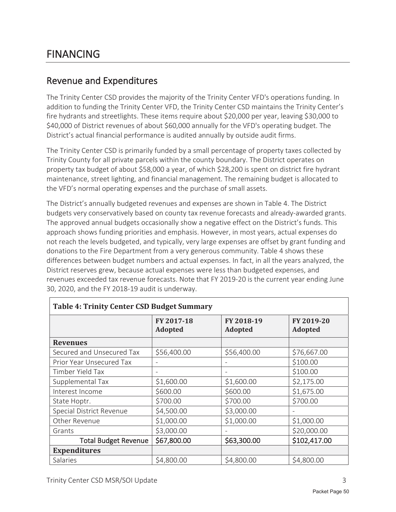### FINANCING

#### Revenue and Expenditures

The Trinity Center CSD provides the majority of the Trinity Center VFD's operations funding. In addition to funding the Trinity Center VFD, the Trinity Center CSD maintains the Trinity Center's fire hydrants and streetlights. These items require about \$20,000 per year, leaving \$30,000 to \$40,000 of District revenues of about \$60,000 annually for the VFD's operating budget. The District's actual financial performance is audited annually by outside audit firms.

The Trinity Center CSD is primarily funded by a small percentage of property taxes collected by Trinity County for all private parcels within the county boundary. The District operates on property tax budget of about \$58,000 a year, of which \$28,200 is spent on district fire hydrant maintenance, street lighting, and financial management. The remaining budget is allocated to the VFD's normal operating expenses and the purchase of small assets.

The District's annually budgeted revenues and expenses are shown in Table 4. The District budgets very conservatively based on county tax revenue forecasts and already-awarded grants. The approved annual budgets occasionally show a negative effect on the District's funds. This approach shows funding priorities and emphasis. However, in most years, actual expenses do not reach the levels budgeted, and typically, very large expenses are offset by grant funding and donations to the Fire Department from a very generous community. Table 4 shows these differences between budget numbers and actual expenses. In fact, in all the years analyzed, the District reserves grew, because actual expenses were less than budgeted expenses, and revenues exceeded tax revenue forecasts. Note that FY 2019-20 is the current year ending June 30, 2020, and the FY 2018-19 audit is underway.

| <b>Table 4: Trinity Center CSD Budget Summary</b> |                              |                       |                              |
|---------------------------------------------------|------------------------------|-----------------------|------------------------------|
|                                                   | FY 2017-18<br><b>Adopted</b> | FY 2018-19<br>Adopted | FY 2019-20<br><b>Adopted</b> |
| <b>Revenues</b>                                   |                              |                       |                              |
| Secured and Unsecured Tax                         | \$56,400.00                  | \$56,400.00           | \$76,667.00                  |
| Prior Year Unsecured Tax                          |                              |                       | \$100.00                     |
| Timber Yield Tax                                  | $\overline{\phantom{a}}$     |                       | \$100.00                     |
| Supplemental Tax                                  | \$1,600.00                   | \$1,600.00            | \$2,175.00                   |
| Interest Income                                   | \$600.00                     | \$600.00              | \$1,675.00                   |
| State Hoptr.                                      | \$700.00                     | \$700.00              | \$700.00                     |
| Special District Revenue                          | \$4,500.00                   | \$3,000.00            |                              |
| Other Revenue                                     | \$1,000.00                   | \$1,000.00            | \$1,000.00                   |
| Grants                                            | \$3,000.00                   |                       | \$20,000.00                  |
| <b>Total Budget Revenue</b>                       | \$67,800.00                  | \$63,300.00           | \$102,417.00                 |
| <b>Expenditures</b>                               |                              |                       |                              |
| Salaries                                          | \$4,800.00                   | \$4,800.00            | \$4,800.00                   |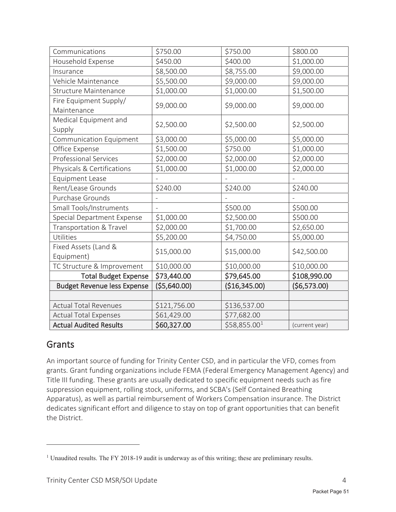| Communications                     | \$750.00     | \$750.00                 | \$800.00       |
|------------------------------------|--------------|--------------------------|----------------|
| Household Expense                  | \$450.00     | \$400.00                 | \$1,000.00     |
| Insurance                          | \$8,500.00   | \$8,755.00               | \$9,000.00     |
| Vehicle Maintenance                | \$5,500.00   | \$9,000.00               | \$9,000.00     |
| <b>Structure Maintenance</b>       | \$1,000.00   | \$1,000.00               | \$1,500.00     |
| Fire Equipment Supply/             | \$9,000.00   | \$9,000.00               | \$9,000.00     |
| Maintenance                        |              |                          |                |
| Medical Equipment and              | \$2,500.00   | \$2,500.00               | \$2,500.00     |
| Supply                             |              |                          |                |
| Communication Equipment            | \$3,000.00   | \$5,000.00               | \$5,000.00     |
| Office Expense                     | \$1,500.00   | \$750.00                 | \$1,000.00     |
| <b>Professional Services</b>       | \$2,000.00   | \$2,000.00               | \$2,000.00     |
| Physicals & Certifications         | \$1,000.00   | \$1,000.00               | \$2,000.00     |
| <b>Equipment Lease</b>             |              |                          |                |
| Rent/Lease Grounds                 | \$240.00     | \$240.00                 | \$240.00       |
| Purchase Grounds                   |              |                          |                |
| Small Tools/Instruments            |              | \$500.00                 | \$500.00       |
| Special Department Expense         | \$1,000.00   | \$2,500.00               | \$500.00       |
| Transportation & Travel            | \$2,000.00   | \$1,700.00               | \$2,650.00     |
| Utilities                          | \$5,200.00   | \$4,750.00               | \$5,000.00     |
| Fixed Assets (Land &               | \$15,000.00  | \$15,000.00              | \$42,500.00    |
| Equipment)                         |              |                          |                |
| TC Structure & Improvement         | \$10,000.00  | \$10,000.00              | \$10,000.00    |
| <b>Total Budget Expense</b>        | \$73,440.00  | \$79,645.00              | \$108,990.00   |
| <b>Budget Revenue less Expense</b> | (\$5,640.00) | (\$16,345.00)            | (56, 573.00)   |
|                                    |              |                          |                |
| <b>Actual Total Revenues</b>       | \$121,756.00 | \$136,537.00             |                |
| <b>Actual Total Expenses</b>       | \$61,429.00  | \$77,682.00              |                |
| <b>Actual Audited Results</b>      | \$60,327.00  | $\overline{$}58,855.001$ | (current year) |

#### **Grants**

An important source of funding for Trinity Center CSD, and in particular the VFD, comes from grants. Grant funding organizations include FEMA (Federal Emergency Management Agency) and Title III funding. These grants are usually dedicated to specific equipment needs such as fire suppression equipment, rolling stock, uniforms, and SCBA's (Self Contained Breathing Apparatus), as well as partial reimbursement of Workers Compensation insurance. The District dedicates significant effort and diligence to stay on top of grant opportunities that can benefit the District.

<sup>&</sup>lt;sup>1</sup> Unaudited results. The FY 2018-19 audit is underway as of this writing; these are preliminary results.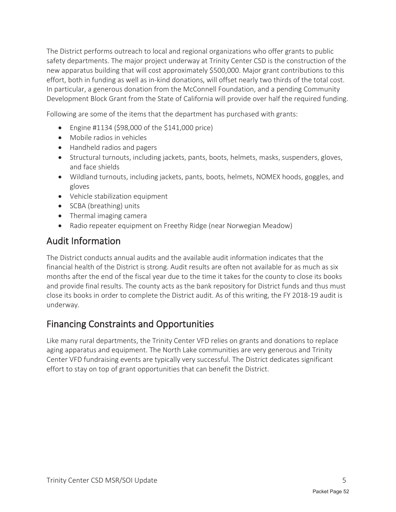The District performs outreach to local and regional organizations who offer grants to public safety departments. The major project underway at Trinity Center CSD is the construction of the new apparatus building that will cost approximately \$500,000. Major grant contributions to this effort, both in funding as well as in-kind donations, will offset nearly two thirds of the total cost. In particular, a generous donation from the McConnell Foundation, and a pending Community Development Block Grant from the State of California will provide over half the required funding.

Following are some of the items that the department has purchased with grants:

- Engine #1134 (\$98,000 of the \$141,000 price)
- Mobile radios in vehicles
- Handheld radios and pagers
- Structural turnouts, including jackets, pants, boots, helmets, masks, suspenders, gloves, and face shields
- Wildland turnouts, including jackets, pants, boots, helmets, NOMEX hoods, goggles, and gloves
- Vehicle stabilization equipment
- $\bullet$  SCBA (breathing) units
- $\bullet$  Thermal imaging camera
- Radio repeater equipment on Freethy Ridge (near Norwegian Meadow)

#### Audit Information

The District conducts annual audits and the available audit information indicates that the financial health of the District is strong. Audit results are often not available for as much as six months after the end of the fiscal year due to the time it takes for the county to close its books and provide final results. The county acts as the bank repository for District funds and thus must close its books in order to complete the District audit. As of this writing, the FY 2018-19 audit is underway.

#### Financing Constraints and Opportunities

Like many rural departments, the Trinity Center VFD relies on grants and donations to replace aging apparatus and equipment. The North Lake communities are very generous and Trinity Center VFD fundraising events are typically very successful. The District dedicates significant effort to stay on top of grant opportunities that can benefit the District.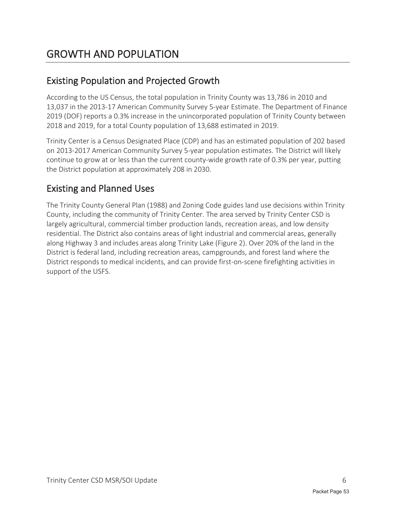# GROWTH AND POPULATION

### Existing Population and Projected Growth

According to the US Census, the total population in Trinity County was 13,786 in 2010 and 13,037 in the 2013-17 American Community Survey 5-year Estimate. The Department of Finance 2019 (DOF) reports a 0.3% increase in the unincorporated population of Trinity County between 2018 and 2019, for a total County population of 13,688 estimated in 2019.

Trinity Center is a Census Designated Place (CDP) and has an estimated population of 202 based on 2013-2017 American Community Survey 5-year population estimates. The District will likely continue to grow at or less than the current county-wide growth rate of 0.3% per year, putting the District population at approximately 208 in 2030.

### Existing and Planned Uses

The Trinity County General Plan (1988) and Zoning Code guides land use decisions within Trinity County, including the community of Trinity Center. The area served by Trinity Center CSD is largely agricultural, commercial timber production lands, recreation areas, and low density residential. The District also contains areas of light industrial and commercial areas, generally along Highway 3 and includes areas along Trinity Lake (Figure 2). Over 20% of the land in the District is federal land, including recreation areas, campgrounds, and forest land where the District responds to medical incidents, and can provide first-on-scene firefighting activities in support of the USFS.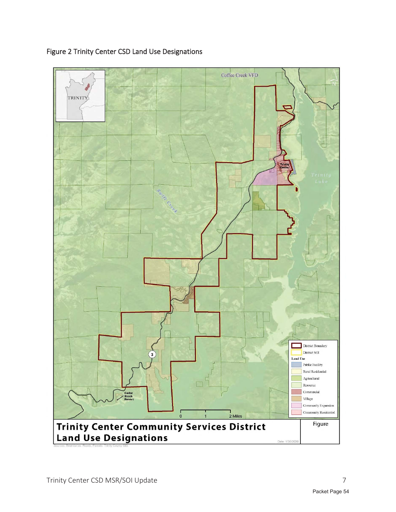

Figure 2 Trinity Center CSD Land Use Designations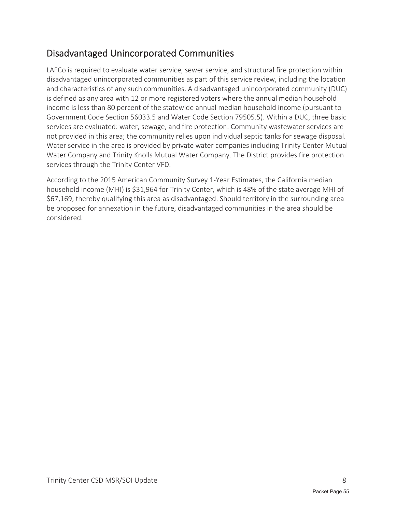### Disadvantaged Unincorporated Communities

LAFCo is required to evaluate water service, sewer service, and structural fire protection within disadvantaged unincorporated communities as part of this service review, including the location and characteristics of any such communities. A disadvantaged unincorporated community (DUC) is defined as any area with 12 or more registered voters where the annual median household income is less than 80 percent of the statewide annual median household income (pursuant to Government Code Section 56033.5 and Water Code Section 79505.5). Within a DUC, three basic services are evaluated: water, sewage, and fire protection. Community wastewater services are not provided in this area; the community relies upon individual septic tanks for sewage disposal. Water service in the area is provided by private water companies including Trinity Center Mutual Water Company and Trinity Knolls Mutual Water Company. The District provides fire protection services through the Trinity Center VFD.

According to the 2015 American Community Survey 1-Year Estimates, the California median household income (MHI) is \$31,964 for Trinity Center, which is 48% of the state average MHI of \$67,169, thereby qualifying this area as disadvantaged. Should territory in the surrounding area be proposed for annexation in the future, disadvantaged communities in the area should be considered.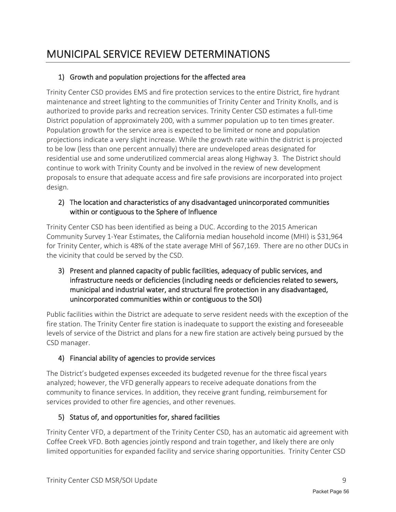# MUNICIPAL SERVICE REVIEW DETERMINATIONS

#### 1) Growth and population projections for the affected area

Trinity Center CSD provides EMS and fire protection services to the entire District, fire hydrant maintenance and street lighting to the communities of Trinity Center and Trinity Knolls, and is authorized to provide parks and recreation services. Trinity Center CSD estimates a full-time District population of approximately 200, with a summer population up to ten times greater. Population growth for the service area is expected to be limited or none and population projections indicate a very slight increase. While the growth rate within the district is projected to be low (less than one percent annually) there are undeveloped areas designated for residential use and some underutilized commercial areas along Highway 3. The District should continue to work with Trinity County and be involved in the review of new development proposals to ensure that adequate access and fire safe provisions are incorporated into project design.

#### 2) The location and characteristics of any disadvantaged unincorporated communities within or contiguous to the Sphere of Influence

Trinity Center CSD has been identified as being a DUC. According to the 2015 American Community Survey 1-Year Estimates, the California median household income (MHI) is \$31,964 for Trinity Center, which is 48% of the state average MHI of \$67,169. There are no other DUCs in the vicinity that could be served by the CSD.

3) Present and planned capacity of public facilities, adequacy of public services, and infrastructure needs or deficiencies (including needs or deficiencies related to sewers, municipal and industrial water, and structural fire protection in any disadvantaged, unincorporated communities within or contiguous to the SOI)

Public facilities within the District are adequate to serve resident needs with the exception of the fire station. The Trinity Center fire station is inadequate to support the existing and foreseeable levels of service of the District and plans for a new fire station are actively being pursued by the CSD manager.

#### 4) Financial ability of agencies to provide services

The District's budgeted expenses exceeded its budgeted revenue for the three fiscal years analyzed; however, the VFD generally appears to receive adequate donations from the community to finance services. In addition, they receive grant funding, reimbursement for services provided to other fire agencies, and other revenues.

#### 5) Status of, and opportunities for, shared facilities

Trinity Center VFD, a department of the Trinity Center CSD, has an automatic aid agreement with Coffee Creek VFD. Both agencies jointly respond and train together, and likely there are only limited opportunities for expanded facility and service sharing opportunities. Trinity Center CSD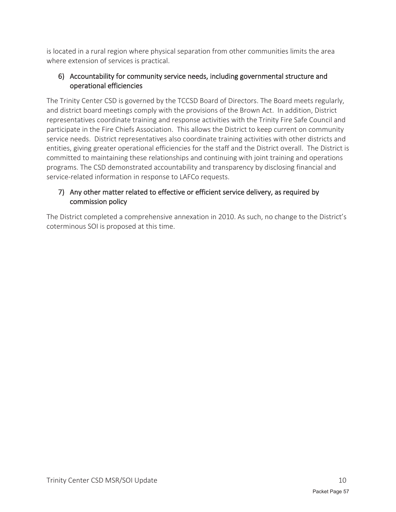is located in a rural region where physical separation from other communities limits the area where extension of services is practical.

#### 6) Accountability for community service needs, including governmental structure and operational efficiencies

The Trinity Center CSD is governed by the TCCSD Board of Directors. The Board meets regularly, and district board meetings comply with the provisions of the Brown Act. In addition, District representatives coordinate training and response activities with the Trinity Fire Safe Council and participate in the Fire Chiefs Association. This allows the District to keep current on community service needs. District representatives also coordinate training activities with other districts and entities, giving greater operational efficiencies for the staff and the District overall. The District is committed to maintaining these relationships and continuing with joint training and operations programs. The CSD demonstrated accountability and transparency by disclosing financial and service-related information in response to LAFCo requests.

#### 7) Any other matter related to effective or efficient service delivery, as required by commission policy

The District completed a comprehensive annexation in 2010. As such, no change to the District's coterminous SOI is proposed at this time.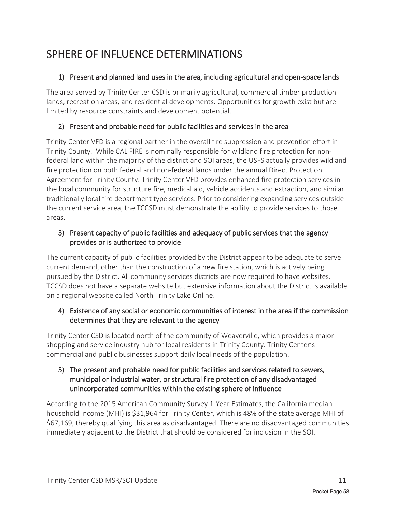# SPHERE OF INFLUENCE DETERMINATIONS

#### 1) Present and planned land uses in the area, including agricultural and open-space lands

The area served by Trinity Center CSD is primarily agricultural, commercial timber production lands, recreation areas, and residential developments. Opportunities for growth exist but are limited by resource constraints and development potential.

#### 2) Present and probable need for public facilities and services in the area

Trinity Center VFD is a regional partner in the overall fire suppression and prevention effort in Trinity County. While CAL FIRE is nominally responsible for wildland fire protection for nonfederal land within the majority of the district and SOI areas, the USFS actually provides wildland fire protection on both federal and non-federal lands under the annual Direct Protection Agreement for Trinity County. Trinity Center VFD provides enhanced fire protection services in the local community for structure fire, medical aid, vehicle accidents and extraction, and similar traditionally local fire department type services. Prior to considering expanding services outside the current service area, the TCCSD must demonstrate the ability to provide services to those areas.

#### 3) Present capacity of public facilities and adequacy of public services that the agency provides or is authorized to provide

The current capacity of public facilities provided by the District appear to be adequate to serve current demand, other than the construction of a new fire station, which is actively being pursued by the District. All community services districts are now required to have websites. TCCSD does not have a separate website but extensive information about the District is available on a regional website called North Trinity Lake Online.

#### 4) Existence of any social or economic communities of interest in the area if the commission determines that they are relevant to the agency

Trinity Center CSD is located north of the community of Weaverville, which provides a major shopping and service industry hub for local residents in Trinity County. Trinity Center's commercial and public businesses support daily local needs of the population.

#### 5) The present and probable need for public facilities and services related to sewers, municipal or industrial water, or structural fire protection of any disadvantaged unincorporated communities within the existing sphere of influence

According to the 2015 American Community Survey 1-Year Estimates, the California median household income (MHI) is \$31,964 for Trinity Center, which is 48% of the state average MHI of \$67,169, thereby qualifying this area as disadvantaged. There are no disadvantaged communities immediately adjacent to the District that should be considered for inclusion in the SOI.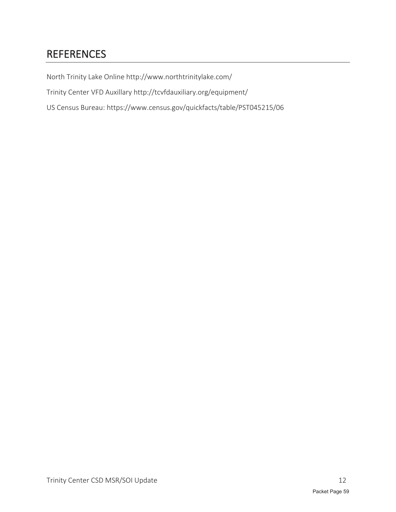# REFERENCES

North Trinity Lake Online http://www.northtrinitylake.com/

Trinity Center VFD Auxillary http://tcvfdauxiliary.org/equipment/

US Census Bureau: https://www.census.gov/quickfacts/table/PST045215/06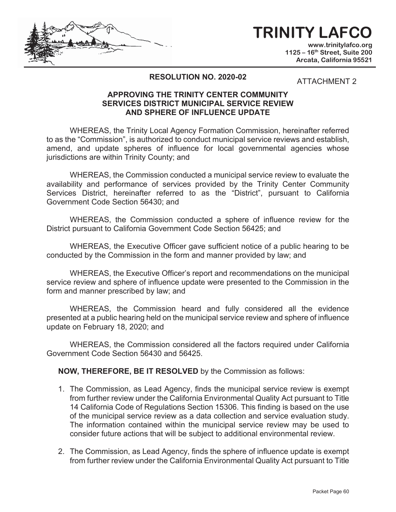# **TRINITY LAFCO**

**www.trinitylafco.org 1125 – 16th Street, Suite 200 Arcata, California 95521** 

#### **RESOLUTION NO. 2020-0**

ATTACHMENT 2

#### **APPROVING THE TRINITY CENTER COMMUNITY SERVICES DISTRICT MUNICIPAL SERVICE REVIEW AND SPHERE OF INFLUENCE UPDATE**

WHEREAS, the Trinity Local Agency Formation Commission, hereinafter referred to as the "Commission", is authorized to conduct municipal service reviews and establish, amend, and update spheres of influence for local governmental agencies whose jurisdictions are within Trinity County; and

WHEREAS, the Commission conducted a municipal service review to evaluate the availability and performance of services provided by the Trinity Center Community Services District, hereinafter referred to as the "District", pursuant to California Government Code Section 56430; and

WHEREAS, the Commission conducted a sphere of influence review for the District pursuant to California Government Code Section 56425; and

WHEREAS, the Executive Officer gave sufficient notice of a public hearing to be conducted by the Commission in the form and manner provided by law; and

WHEREAS, the Executive Officer's report and recommendations on the municipal service review and sphere of influence update were presented to the Commission in the form and manner prescribed by law; and

WHEREAS, the Commission heard and fully considered all the evidence presented at a public hearing held on the municipal service review and sphere of influence update on February 18, 2020; and

WHEREAS, the Commission considered all the factors required under California Government Code Section 56430 and 56425.

**NOW, THEREFORE, BE IT RESOLVED** by the Commission as follows:

- 1. The Commission, as Lead Agency, finds the municipal service review is exempt from further review under the California Environmental Quality Act pursuant to Title 14 California Code of Regulations Section 15306. This finding is based on the use of the municipal service review as a data collection and service evaluation study. The information contained within the municipal service review may be used to consider future actions that will be subject to additional environmental review.
- 2. The Commission, as Lead Agency, finds the sphere of influence update is exempt from further review under the California Environmental Quality Act pursuant to Title